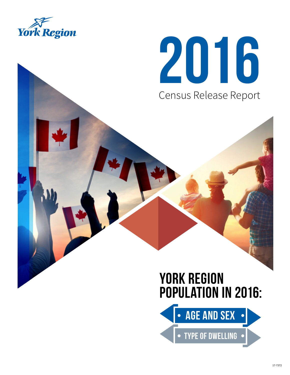

# 2016 Census Release Report

# YORK REGION POPULATION IN 2016:

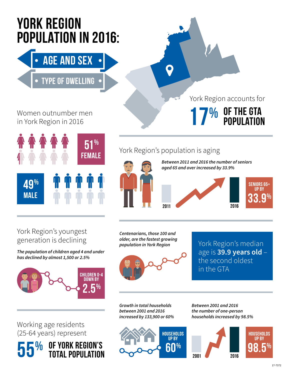# YORK REGION POPULATION IN 2016:

AGE AND SEX

# TYPE OF DWELLING

# Women outnumber men in York Region in 2016





York Region accounts for

# York Region's population is aging



# York Region's youngest generation is declining

**The population of children aged 4 and under has declined by almost 1,500 or 2.5%**



Working age residents (25-64 years) represent

 $\frac{0}{0}$ 

OF YORK REGION'S<br>TOTAL POPULATION

**Centenarians, those 100 and older, are the fastest growing population in York Region**



York Region's median age is **39.9 years old** – the second oldest in the GTA

**Growth in total households between 2001 and 2016 increased by 133,900 or 60%**



**Between 2001 and 2016 the number of one-person households increased by 98.5%**

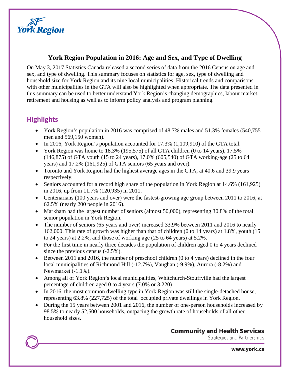

#### **York Region Population in 2016: Age and Sex, and Type of Dwelling**

On May 3, 2017 Statistics Canada released a second series of data from the 2016 Census on age and sex, and type of dwelling. This summary focuses on statistics for age, sex, type of dwelling and household size for York Region and its nine local municipalities. Historical trends and comparisons with other municipalities in the GTA will also be highlighted when appropriate. The data presented in this summary can be used to better understand York Region's changing demographics, labour market, retirement and housing as well as to inform policy analysis and program planning.

## **Highlights**

- York Region's population in 2016 was comprised of 48.7% males and 51.3% females (540,755 men and 569,150 women).
- In 2016, York Region's population accounted for 17.3% (1,109,910) of the GTA total.
- York Region was home to 18.3% (195,575) of all GTA children (0 to 14 years), 17.5% (146,875) of GTA youth (15 to 24 years), 17.0% (605,540) of GTA working-age (25 to 64 years) and 17.2% (161,925) of GTA seniors (65 years and over).
- Toronto and York Region had the highest average ages in the GTA, at 40.6 and 39.9 years respectively.
- Seniors accounted for a record high share of the population in York Region at 14.6% (161,925) in 2016, up from 11.7% (120,935) in 2011.
- Centenarians (100 years and over) were the fastest-growing age group between 2011 to 2016, at 62.5% (nearly 200 people in 2016).
- Markham had the largest number of seniors (almost 50,000), representing 30.8% of the total senior population in York Region.
- The number of seniors (65 years and over) increased 33.9% between 2011 and 2016 to nearly 162,000. This rate of growth was higher than that of children (0 to 14 years) at 1.8%, youth (15 to 24 years) at 2.2%, and those of working age (25 to 64 years) at 5.2%.
- For the first time in nearly three decades the population of children aged 0 to 4 years declined since the previous census (-2.5%).
- Between 2011 and 2016, the number of preschool children (0 to 4 years) declined in the four local municipalities of Richmond Hill (-12.7%), Vaughan (-9.9%), Aurora (-8.2%) and Newmarket (-1.1%).
- Among all of York Region's local municipalities, Whitchurch-Stouffville had the largest percentage of children aged 0 to 4 years (7.0% or 3,220) .
- In 2016, the most common dwelling type in York Region was still the single-detached house, representing 63.8% (227,725) of the total [occupied private dwellings](http://www12.statcan.gc.ca/census-recensement/2016/ref/dict/dwelling-logements006-eng.cfm) in York Region.
- During the 15 years between 2001 and 2016, the number of one-person households increased by 98.5% to nearly 52,500 households, outpacing the growth rate of households of all other household sizes.

#### **Community and Health Services**

Strategies and Partnerships

www.york.ca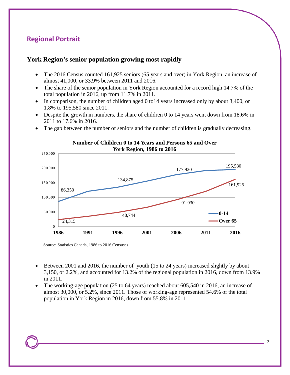## **Regional Portrait**

#### **York Region's senior population growing most rapidly**

- The 2016 Census counted 161,925 seniors (65 years and over) in York Region, an increase of almost 41,000, or 33.9% between 2011 and 2016.
- The share of the senior population in York Region accounted for a record high 14.7% of the total population in 2016, up from 11.7% in 2011.
- In comparison, the number of children aged 0 to 14 years increased only by about 3,400, or 1.8% to 195,580 since 2011.
- Despite the growth in numbers, the share of children 0 to 14 years went down from 18.6% in 2011 to 17.6% in 2016.
- The gap between the number of seniors and the number of children is gradually decreasing.



- Between 2001 and 2016, the number of youth (15 to 24 years) increased slightly by about 3,150, or 2.2%, and accounted for 13.2% of the regional population in 2016, down from 13.9% in 2011.
- The working-age population (25 to 64 years) reached about 605,540 in 2016, an increase of almost 30,000, or 5.2%, since 2011. Those of working-age represented 54.6% of the total population in York Region in 2016, down from 55.8% in 2011.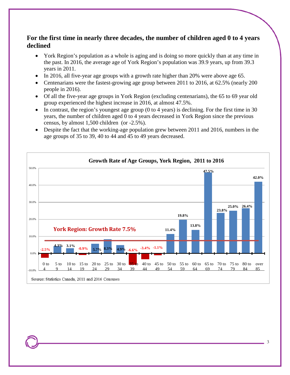#### **For the first time in nearly three decades, the number of children aged 0 to 4 years declined**

- York Region's population as a whole is aging and is doing so more quickly than at any time in the past. In 2016, the average age of York Region's population was 39.9 years, up from 39.3 years in 2011.
- In 2016, all five-year age groups with a growth rate higher than 20% were above age 65.
- Centenarians were the fastest-growing age group between 2011 to 2016, at 62.5% (nearly 200 people in 2016).
- Of all the five-year age groups in York Region (excluding centenarians), the 65 to 69 year old group experienced the highest increase in 2016, at almost 47.5%.
- In contrast, the region's youngest age group (0 to 4 years) is declining. For the first time in 30 years, the number of children aged 0 to 4 years decreased in York Region since the previous census, by almost 1,500 children (or -2.5%).
- Despite the fact that the working-age population grew between 2011 and 2016, numbers in the age groups of 35 to 39, 40 to 44 and 45 to 49 years decreased.

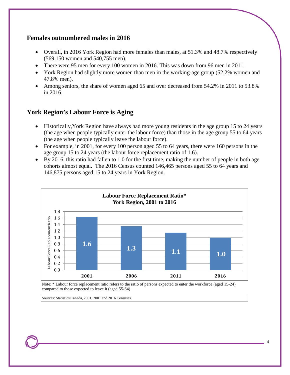#### **Females outnumbered males in 2016**

- Overall, in 2016 York Region had more females than males, at 51.3% and 48.7% respectively (569,150 women and 540,755 men).
- There were 95 men for every 100 women in 2016. This was down from 96 men in 2011.
- York Region had slightly more women than men in the working-age group (52.2% women and 47.8% men).
- Among seniors, the share of women aged 65 and over decreased from 54.2% in 2011 to 53.8% in 2016.

#### **York Region's Labour Force is Aging**

- Historically,York Region have always had more young residents in the age group 15 to 24 years (the age when people typically enter the labour force) than those in the age group 55 to 64 years (the age when people typically leave the labour force).
- For example, in 2001, for every 100 person aged 55 to 64 years, there were 160 persons in the age group 15 to 24 years (the labour force replacement ratio of 1.6).
- By 2016, this ratio had fallen to 1.0 for the first time, making the number of people in both age cohorts almost equal. The 2016 Census counted 146,465 persons aged 55 to 64 years and 146,875 persons aged 15 to 24 years in York Region.



Sources: Statistics Canada, 2001, 2001 and 2016 Censuses.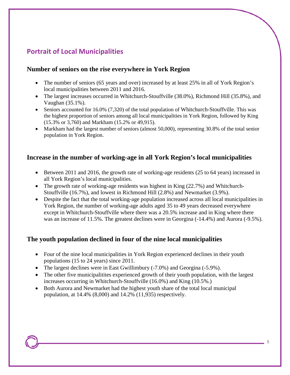# **Portrait of Local Municipalities**

#### **Number of seniors on the rise everywhere in York Region**

- The number of seniors (65 years and over) increased by at least 25% in all of York Region's local municipalities between 2011 and 2016.
- The largest increases occurred in Whitchurch-Stouffville (38.0%), Richmond Hill (35.8%), and Vaughan (35.1%).
- Seniors accounted for 16.0% (7,320) of the total population of Whitchurch-Stouffville. This was the highest proportion of seniors among all local municipalities in York Region, followed by King (15.3% or 3,760) and Markham (15.2% or 49,915).
- Markham had the largest number of seniors (almost 50,000), representing 30.8% of the total senior population in York Region.

#### **Increase in the number of working-age in all York Region's local municipalities**

- Between 2011 and 2016, the growth rate of working-age residents (25 to 64 years) increased in all York Region's local municipalities.
- The growth rate of working-age residents was highest in King (22.7%) and Whitchurch-Stouffville (16.7%), and lowest in Richmond Hill (2.8%) and Newmarket (3.9%).
- Despite the fact that the total working-age population increased across all local municipalities in York Region, the number of working-age adults aged 35 to 49 years decreased everywhere except in Whitchurch-Stouffville where there was a 20.5% increase and in King where there was an increase of 11.5%. The greatest declines were in Georgina (-14.4%) and Aurora (-9.5%).

#### **The youth population declined in four of the nine local municipalities**

- Four of the nine local municipalities in York Region experienced declines in their youth populations (15 to 24 years) since 2011.
- The largest declines were in East Gwillimbury (-7.0%) and Georgina (-5.9%).
- The other five municipalitites experienced growth of their youth population, with the largest increases occurring in Whitchurch-Stouffville (16.0%) and King (10.5%.)
- Both Aurora and Newmarket had the highest youth share of the total local municipal population, at 14.4% (8,000) and 14.2% (11,935) respectively.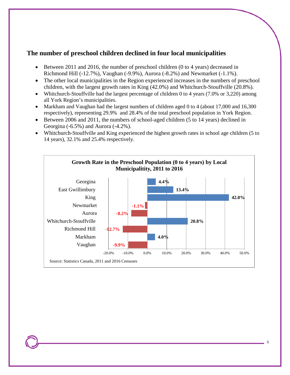#### **The number of preschool children declined in four local municipalities**

- Between 2011 and 2016, the number of preschool children (0 to 4 years) decreased in Richmond Hill (-12.7%), Vaughan (-9.9%), Aurora (-8.2%) and Newmarket (-1.1%).
- The other local municipalities in the Region experienced increases in the numbers of preschool children, with the largest growth rates in King (42.0%) and Whitchurch-Stouffville (20.8%).
- Whitchurch-Stouffville had the largest percentage of children 0 to 4 years (7.0% or 3,220) among all York Region's municipalities.
- Markham and Vaughan had the largest numbers of children aged 0 to 4 (about 17,000 and 16,300) respectively), representing 29.9% and 28.4% of the total preschool population in York Region.
- Between 2006 and 2011, the numbers of school-aged children (5 to 14 years) declined in Georgina (-6.5%) and Aurora (-4.2%).
- Whitchurch-Stouffville and King experienced the highest growth rates in school age children (5 to 14 years), 32.1% and 25.4% respectively.

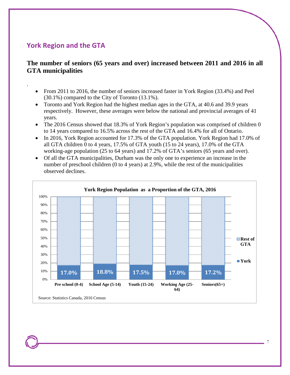### **York Region and the GTA**

.

#### **The number of seniors (65 years and over) increased between 2011 and 2016 in all GTA municipalities**

- From 2011 to 2016, the number of seniors increased faster in York Region (33.4%) and Peel (30.1%) compared to the City of Toronto (13.1%).
- Toronto and York Region had the highest median ages in the GTA, at 40.6 and 39.9 years respectively. However, these averages were below the national and provincial averages of 41 years.
- The 2016 Census showed that 18.3% of York Region's population was comprised of children 0 to 14 years compared to 16.5% across the rest of the GTA and 16.4% for all of Ontario.
- In 2016, York Region accounted for 17.3% of the GTA population. York Region had 17.0% of all GTA children 0 to 4 years, 17.5% of GTA youth (15 to 24 years), 17.0% of the GTA working-age population (25 to 64 years) and 17.2% of GTA's seniors (65 years and over).
- Of all the GTA municipalities, Durham was the only one to experience an increase in the number of preschool children (0 to 4 years) at 2.9%, while the rest of the municipalities observed declines.

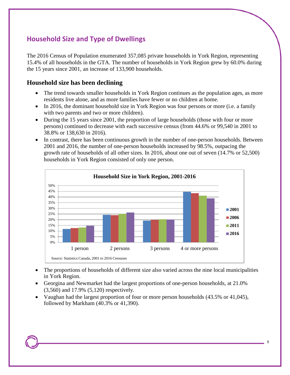## **Household Size and Type of Dwellings**

The 2016 Census of Population enumerated 357,085 private households in York Region, representing 15.4% of all households in the GTA. The number of households in York Region grew by 60.0% during the 15 years since 2001, an increase of 133,900 households.

#### **Household size has been declining**

- The trend towards smaller households in York Region continues as the population ages, as more residents live alone, and as more families have fewer or no children at home.
- In 2016, the dominant household size in York Region was four persons or more (i.e. a family with two parents and two or more children).
- During the 15 years since 2001, the proportion of large households (those with four or more persons) continued to decrease with each successive census (from 44.6% or 99,540 in 2001 to 38.8% or 138,630 in 2016).
- In contrast, there has been continuous growth in the number of one-person households. Between 2001 and 2016, the number of one-person households increased by 98.5%, outpacing the growth rate of households of all other sizes. In 2016, about one out of seven (14.7% or 52,500) households in York Region consisted of only one person.



- The proportions of households of different size also varied across the nine local municipalities in York Region.
- Georgina and Newmarket had the largest proportions of one-person households, at 21.0% (3,560) and 17.9% (5,120) respectively.
- Vaughan had the largest proportion of four or more person households (43.5% or 41,045), followed by Markham (40.3% or 41,390).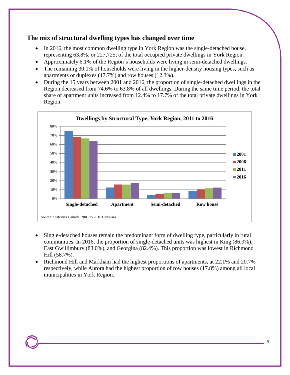#### **The mix of structural dwelling types has changed over time**

- In 2016, the most common dwelling type in York Region was the single-detached house, representing 63.8%, or 227,725, of the total [occupied private dwellings](http://www12.statcan.gc.ca/census-recensement/2016/ref/dict/dwelling-logements006-eng.cfm) in York Region.
- Approximately 6.1% of the Region's households were living in semi-detached dwellings.
- The remaining 30.1% of households were living in the higher-density housing types, such as apartments or duplexes (17.7%) and row houses (12.3%).
- During the 15 years between 2001 and 2016, the proportion of single-detached dwellings in the Region decreased from 74.6% to 63.8% of all dwellings. During the same time period, the total share of apartment units increased from 12.4% to 17.7% of the total private dwellings in York Region.



- Single-detached houses remain the predominant form of dwelling type, particularly in rural communities. In 2016, the proportion of single-detached units was highest in King (86.9%), East Gwillimbury (83.0%), and Georgina (82.4%). This proportion was lowest in Richmond Hill (58.7%).
- Richmond Hill and Markham had the highest proportions of apartments, at 22.1% and 20.7% respectively, while Aurora had the highest proportion of row houses (17.8%) among all local municipalities in York Region.

9